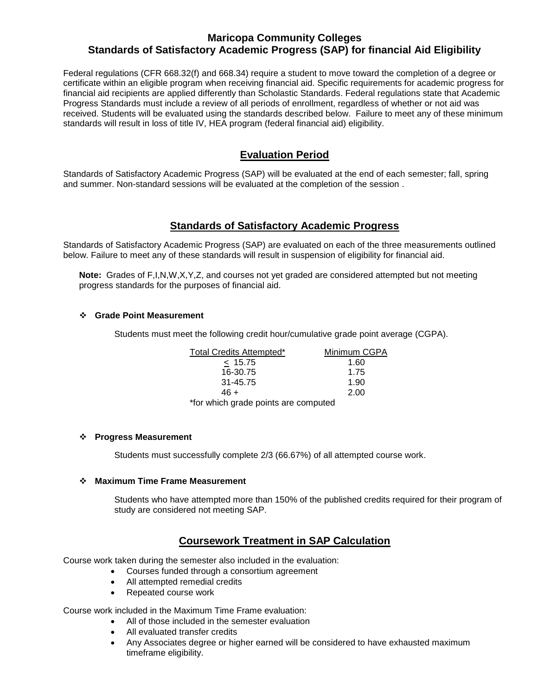## **Maricopa Community Colleges Standards of Satisfactory Academic Progress (SAP) for financial Aid Eligibility**

Federal regulations (CFR 668.32(f) and 668.34) require a student to move toward the completion of a degree or certificate within an eligible program when receiving financial aid. Specific requirements for academic progress for financial aid recipients are applied differently than Scholastic Standards. Federal regulations state that Academic Progress Standards must include a review of all periods of enrollment, regardless of whether or not aid was received. Students will be evaluated using the standards described below. Failure to meet any of these minimum standards will result in loss of title IV, HEA program (federal financial aid) eligibility.

## **Evaluation Period**

Standards of Satisfactory Academic Progress (SAP) will be evaluated at the end of each semester; fall, spring and summer. Non-standard sessions will be evaluated at the completion of the session .

### **Standards of Satisfactory Academic Progress**

Standards of Satisfactory Academic Progress (SAP) are evaluated on each of the three measurements outlined below. Failure to meet any of these standards will result in suspension of eligibility for financial aid.

**Note:** Grades of F,I,N,W,X,Y,Z, and courses not yet graded are considered attempted but not meeting progress standards for the purposes of financial aid.

#### **Grade Point Measurement**

Students must meet the following credit hour/cumulative grade point average (CGPA).

| Total Credits Attempted*             | Minimum CGPA |
|--------------------------------------|--------------|
| < 15.75                              | 1.60         |
| 16-30.75                             | 1.75         |
| 31-45.75                             | 1.90         |
| 46 +                                 | 2.00         |
| *for which grade points are computed |              |

#### **Progress Measurement**

Students must successfully complete 2/3 (66.67%) of all attempted course work.

#### **Maximum Time Frame Measurement**

 Students who have attempted more than 150% of the published credits required for their program of study are considered not meeting SAP.

### **Coursework Treatment in SAP Calculation**

Course work taken during the semester also included in the evaluation:

- Courses funded through a consortium agreement
- All attempted remedial credits
- Repeated course work

Course work included in the Maximum Time Frame evaluation:

- All of those included in the semester evaluation
- All evaluated transfer credits
- Any Associates degree or higher earned will be considered to have exhausted maximum timeframe eligibility.